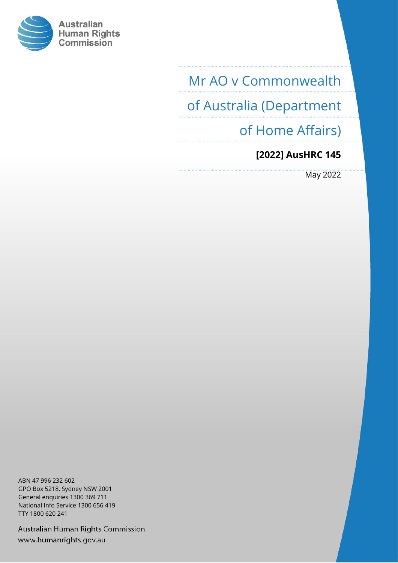

Mr AO v Commonwealth

of Australia (Department

of Home Affairs)

## **[2022] AusHRC 145**

May 2022

ABN 47 996 232 602 GPO Box 5218, Sydney NSW 2001 General enquiries 1300 369 711 National Info Service 1300 656 419 TTY 1800 620 241

Australian Human Rights Commission www.humanrights.gov.au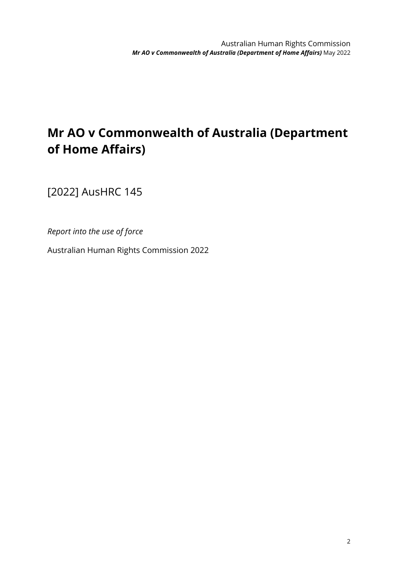# **Mr AO v Commonwealth of Australia (Department of Home Affairs)**

[2022] AusHRC 145

*Report into the use of force*

Australian Human Rights Commission 2022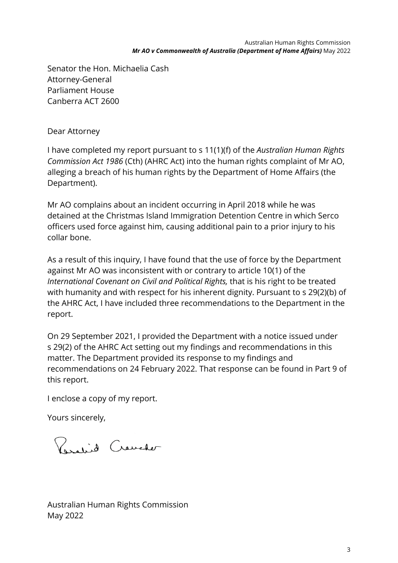Senator the Hon. Michaelia Cash Attorney-General Parliament House Canberra ACT 2600

Dear Attorney

I have completed my report pursuant to s 11(1)(f) of the *Australian Human Rights Commission Act 1986* (Cth) (AHRC Act) into the human rights complaint of Mr AO, alleging a breach of his human rights by the Department of Home Affairs (the Department).

Mr AO complains about an incident occurring in April 2018 while he was detained at the Christmas Island Immigration Detention Centre in which Serco officers used force against him, causing additional pain to a prior injury to his collar bone.

As a result of this inquiry, I have found that the use of force by the Department against Mr AO was inconsistent with or contrary to article 10(1) of the *International Covenant on Civil and Political Rights,* that is his right to be treated with humanity and with respect for his inherent dignity. Pursuant to s 29(2)(b) of the AHRC Act, I have included three recommendations to the Department in the report.

On 29 September 2021, I provided the Department with a notice issued under s 29(2) of the AHRC Act setting out my findings and recommendations in this matter. The Department provided its response to my findings and recommendations on 24 February 2022. That response can be found in Part 9 of this report.

I enclose a copy of my report.

Yours sincerely,

Resalid Creveter

Australian Human Rights Commission May 2022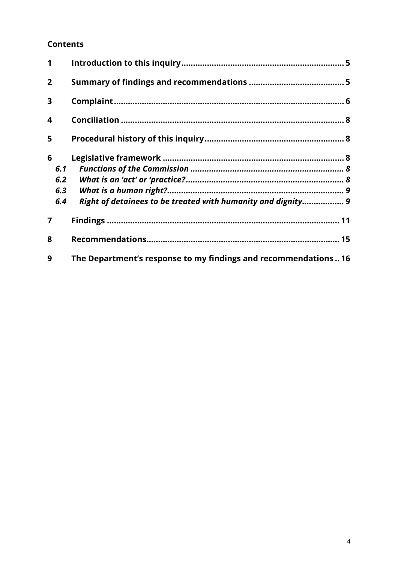#### **Contents**

| 1                       |     |                                                                |  |
|-------------------------|-----|----------------------------------------------------------------|--|
| $\overline{2}$          |     |                                                                |  |
| 3                       |     |                                                                |  |
| $\overline{\mathbf{4}}$ |     |                                                                |  |
| 5                       |     |                                                                |  |
| 6                       |     |                                                                |  |
|                         | 6.1 |                                                                |  |
|                         | 6.2 |                                                                |  |
|                         | 6.3 |                                                                |  |
|                         | 6.4 | Right of detainees to be treated with humanity and dignity 9   |  |
| 7                       |     |                                                                |  |
| 8                       |     |                                                                |  |
| 9                       |     | The Department's response to my findings and recommendations16 |  |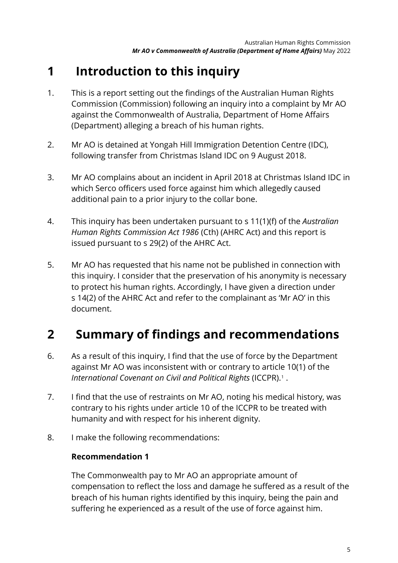# <span id="page-5-0"></span>**1 Introduction to this inquiry**

- 1. This is a report setting out the findings of the Australian Human Rights Commission (Commission) following an inquiry into a complaint by Mr AO against the Commonwealth of Australia, Department of Home Affairs (Department) alleging a breach of his human rights.
- 2. Mr AO is detained at Yongah Hill Immigration Detention Centre (IDC), following transfer from Christmas Island IDC on 9 August 2018.
- 3. Mr AO complains about an incident in April 2018 at Christmas Island IDC in which Serco officers used force against him which allegedly caused additional pain to a prior injury to the collar bone.
- 4. This inquiry has been undertaken pursuant to s 11(1)(f) of the *Australian Human Rights Commission Act 1986* (Cth) (AHRC Act) and this report is issued pursuant to s 29(2) of the AHRC Act.
- 5. Mr AO has requested that his name not be published in connection with this inquiry. I consider that the preservation of his anonymity is necessary to protect his human rights. Accordingly, I have given a direction under s 14(2) of the AHRC Act and refer to the complainant as 'Mr AO' in this document.

## <span id="page-5-1"></span>**2 Summary of findings and recommendations**

- 6. As a result of this inquiry, I find that the use of force by the Department against Mr AO was inconsistent with or contrary to article 10(1) of the *International Covenant on Civil and Political Rights* (ICCPR).[1](#page-19-0) .
- 7. I find that the use of restraints on Mr AO, noting his medical history, was contrary to his rights under article 10 of the ICCPR to be treated with humanity and with respect for his inherent dignity.
- 8. I make the following recommendations:

### **Recommendation 1**

The Commonwealth pay to Mr AO an appropriate amount of compensation to reflect the loss and damage he suffered as a result of the breach of his human rights identified by this inquiry, being the pain and suffering he experienced as a result of the use of force against him.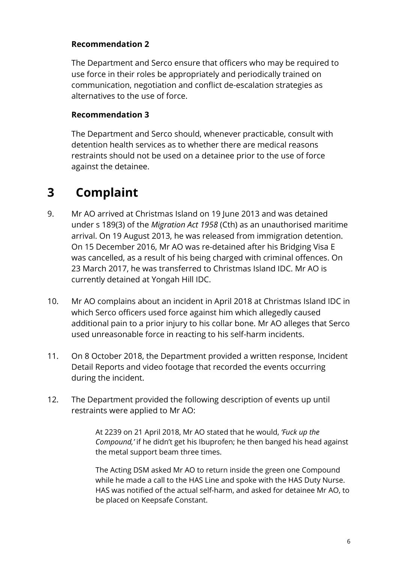#### **Recommendation 2**

The Department and Serco ensure that officers who may be required to use force in their roles be appropriately and periodically trained on communication, negotiation and conflict de-escalation strategies as alternatives to the use of force.

#### **Recommendation 3**

The Department and Serco should, whenever practicable, consult with detention health services as to whether there are medical reasons restraints should not be used on a detainee prior to the use of force against the detainee.

## <span id="page-6-0"></span>**3 Complaint**

- 9. Mr AO arrived at Christmas Island on 19 June 2013 and was detained under s 189(3) of the *Migration Act 1958* (Cth) as an unauthorised maritime arrival. On 19 August 2013, he was released from immigration detention. On 15 December 2016, Mr AO was re-detained after his Bridging Visa E was cancelled, as a result of his being charged with criminal offences. On 23 March 2017, he was transferred to Christmas Island IDC. Mr AO is currently detained at Yongah Hill IDC.
- 10. Mr AO complains about an incident in April 2018 at Christmas Island IDC in which Serco officers used force against him which allegedly caused additional pain to a prior injury to his collar bone. Mr AO alleges that Serco used unreasonable force in reacting to his self-harm incidents.
- 11. On 8 October 2018, the Department provided a written response, Incident Detail Reports and video footage that recorded the events occurring during the incident.
- 12. The Department provided the following description of events up until restraints were applied to Mr AO:

At 2239 on 21 April 2018, Mr AO stated that he would, *'Fuck up the Compound,'* if he didn't get his Ibuprofen; he then banged his head against the metal support beam three times.

The Acting DSM asked Mr AO to return inside the green one Compound while he made a call to the HAS Line and spoke with the HAS Duty Nurse. HAS was notified of the actual self-harm, and asked for detainee Mr AO, to be placed on Keepsafe Constant.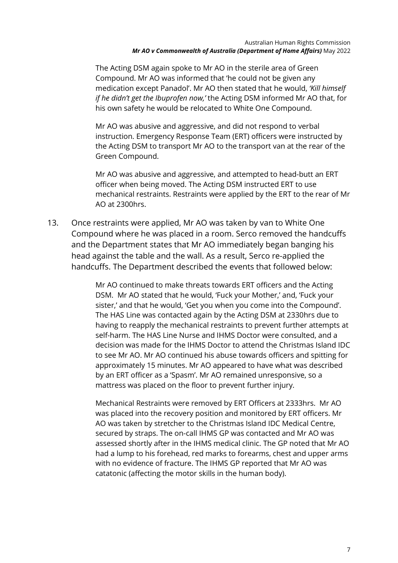The Acting DSM again spoke to Mr AO in the sterile area of Green Compound. Mr AO was informed that 'he could not be given any medication except Panadol'. Mr AO then stated that he would, *'Kill himself if he didn't get the Ibuprofen now,'* the Acting DSM informed Mr AO that, for his own safety he would be relocated to White One Compound.

Mr AO was abusive and aggressive, and did not respond to verbal instruction. Emergency Response Team (ERT) officers were instructed by the Acting DSM to transport Mr AO to the transport van at the rear of the Green Compound.

Mr AO was abusive and aggressive, and attempted to head-butt an ERT officer when being moved. The Acting DSM instructed ERT to use mechanical restraints. Restraints were applied by the ERT to the rear of Mr AO at 2300hrs.

13. Once restraints were applied, Mr AO was taken by van to White One Compound where he was placed in a room. Serco removed the handcuffs and the Department states that Mr AO immediately began banging his head against the table and the wall. As a result, Serco re-applied the handcuffs. The Department described the events that followed below:

> Mr AO continued to make threats towards ERT officers and the Acting DSM. Mr AO stated that he would, 'Fuck your Mother,' and, 'Fuck your sister,' and that he would, 'Get you when you come into the Compound'. The HAS Line was contacted again by the Acting DSM at 2330hrs due to having to reapply the mechanical restraints to prevent further attempts at self-harm. The HAS Line Nurse and IHMS Doctor were consulted, and a decision was made for the IHMS Doctor to attend the Christmas Island IDC to see Mr AO. Mr AO continued his abuse towards officers and spitting for approximately 15 minutes. Mr AO appeared to have what was described by an ERT officer as a 'Spasm'. Mr AO remained unresponsive, so a mattress was placed on the floor to prevent further injury.

> Mechanical Restraints were removed by ERT Officers at 2333hrs. Mr AO was placed into the recovery position and monitored by ERT officers. Mr AO was taken by stretcher to the Christmas Island IDC Medical Centre, secured by straps. The on-call IHMS GP was contacted and Mr AO was assessed shortly after in the IHMS medical clinic. The GP noted that Mr AO had a lump to his forehead, red marks to forearms, chest and upper arms with no evidence of fracture. The IHMS GP reported that Mr AO was catatonic (affecting the motor skills in the human body).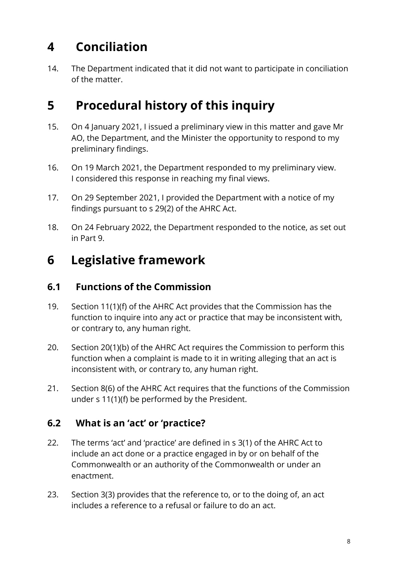# <span id="page-8-0"></span>**4 Conciliation**

14. The Department indicated that it did not want to participate in conciliation of the matter.

## <span id="page-8-1"></span>**5 Procedural history of this inquiry**

- 15. On 4 January 2021, I issued a preliminary view in this matter and gave Mr AO, the Department, and the Minister the opportunity to respond to my preliminary findings.
- 16. On 19 March 2021, the Department responded to my preliminary view. I considered this response in reaching my final views.
- 17. On 29 September 2021, I provided the Department with a notice of my findings pursuant to s 29(2) of the AHRC Act.
- 18. On 24 February 2022, the Department responded to the notice, as set out in Part 9.

## <span id="page-8-2"></span>**6 Legislative framework**

### <span id="page-8-3"></span>**6.1 Functions of the Commission**

- 19. Section 11(1)(f) of the AHRC Act provides that the Commission has the function to inquire into any act or practice that may be inconsistent with, or contrary to, any human right.
- 20. Section 20(1)(b) of the AHRC Act requires the Commission to perform this function when a complaint is made to it in writing alleging that an act is inconsistent with, or contrary to, any human right.
- 21. Section 8(6) of the AHRC Act requires that the functions of the Commission under s 11(1)(f) be performed by the President.

## <span id="page-8-4"></span>**6.2 What is an 'act' or 'practice?**

- 22. The terms 'act' and 'practice' are defined in s 3(1) of the AHRC Act to include an act done or a practice engaged in by or on behalf of the Commonwealth or an authority of the Commonwealth or under an enactment.
- 23. Section 3(3) provides that the reference to, or to the doing of, an act includes a reference to a refusal or failure to do an act.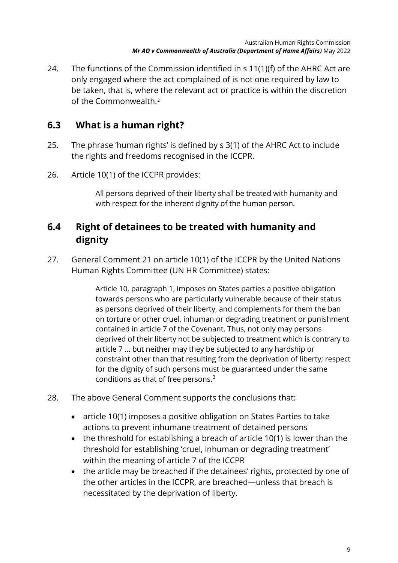24. The functions of the Commission identified in s 11(1)(f) of the AHRC Act are only engaged where the act complained of is not one required by law to be taken, that is, where the relevant act or practice is within the discretion of the Commonwealth.[2](#page-19-1)

### <span id="page-9-0"></span>**6.3 What is a human right?**

- 25. The phrase 'human rights' is defined by s 3(1) of the AHRC Act to include the rights and freedoms recognised in the ICCPR.
- 26. Article 10(1) of the ICCPR provides:

All persons deprived of their liberty shall be treated with humanity and with respect for the inherent dignity of the human person.

### <span id="page-9-1"></span>**6.4 Right of detainees to be treated with humanity and dignity**

27. General Comment 21 on article 10(1) of the ICCPR by the United Nations Human Rights Committee (UN HR Committee) states:

> Article 10, paragraph 1, imposes on States parties a positive obligation towards persons who are particularly vulnerable because of their status as persons deprived of their liberty, and complements for them the ban on torture or other cruel, inhuman or degrading treatment or punishment contained in article 7 of the Covenant. Thus, not only may persons deprived of their liberty not be subjected to treatment which is contrary to article 7 … but neither may they be subjected to any hardship or constraint other than that resulting from the deprivation of liberty; respect for the dignity of such persons must be guaranteed under the same conditions as that of free persons. $3$

- 28. The above General Comment supports the conclusions that:
	- article 10(1) imposes a positive obligation on States Parties to take actions to prevent inhumane treatment of detained persons
	- the threshold for establishing a breach of article 10(1) is lower than the threshold for establishing 'cruel, inhuman or degrading treatment' within the meaning of article 7 of the ICCPR
	- the article may be breached if the detainees' rights, protected by one of the other articles in the ICCPR, are breached—unless that breach is necessitated by the deprivation of liberty.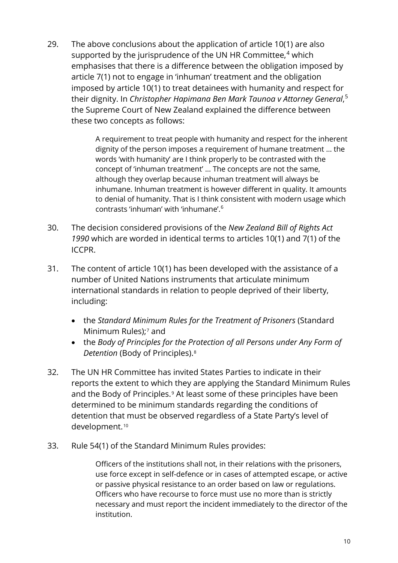29. The above conclusions about the application of article 10(1) are also supported by the jurisprudence of the UN HR Committee, $4$  which emphasises that there is a difference between the obligation imposed by article 7(1) not to engage in 'inhuman' treatment and the obligation imposed by article 10(1) to treat detainees with humanity and respect for their dignity. In *Christopher Hapimana Ben Mark Taunoa v Attorney General*, [5](#page-19-4) the Supreme Court of New Zealand explained the difference between these two concepts as follows:

> A requirement to treat people with humanity and respect for the inherent dignity of the person imposes a requirement of humane treatment … the words 'with humanity' are I think properly to be contrasted with the concept of 'inhuman treatment' … The concepts are not the same, although they overlap because inhuman treatment will always be inhumane. Inhuman treatment is however different in quality. It amounts to denial of humanity. That is I think consistent with modern usage which contrasts 'inhuman' with 'inhumane'.[6](#page-19-5)

- 30. The decision considered provisions of the *New Zealand Bill of Rights Act 1990* which are worded in identical terms to articles 10(1) and 7(1) of the ICCPR.
- 31. The content of article 10(1) has been developed with the assistance of a number of United Nations instruments that articulate minimum international standards in relation to people deprived of their liberty, including:
	- the *Standard Minimum Rules for the Treatment of Prisoners* (Standard Minimum Rules);<sup>[7](#page-19-6)</sup> and
	- the *Body of Principles for the Protection of all Persons under Any Form of Detention* (Body of Principles).[8](#page-19-7)
- 32. The UN HR Committee has invited States Parties to indicate in their reports the extent to which they are applying the Standard Minimum Rules and the Body of Principles.<sup>[9](#page-19-8)</sup> At least some of these principles have been determined to be minimum standards regarding the conditions of detention that must be observed regardless of a State Party's level of development.[10](#page-19-9)
- 33. Rule 54(1) of the Standard Minimum Rules provides:

Officers of the institutions shall not, in their relations with the prisoners, use force except in self-defence or in cases of attempted escape, or active or passive physical resistance to an order based on law or regulations. Officers who have recourse to force must use no more than is strictly necessary and must report the incident immediately to the director of the institution.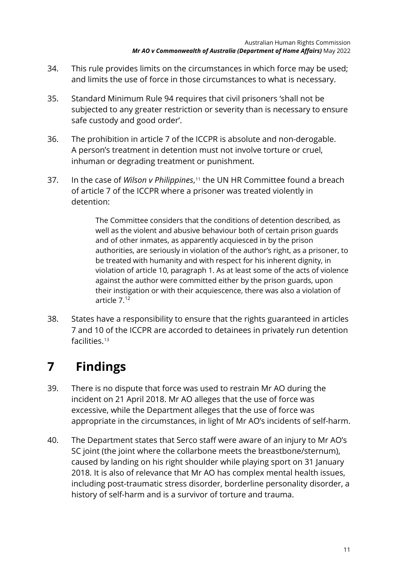- 34. This rule provides limits on the circumstances in which force may be used; and limits the use of force in those circumstances to what is necessary.
- 35. Standard Minimum Rule 94 requires that civil prisoners 'shall not be subjected to any greater restriction or severity than is necessary to ensure safe custody and good order'.
- 36. The prohibition in article 7 of the ICCPR is absolute and non-derogable. A person's treatment in detention must not involve torture or cruel, inhuman or degrading treatment or punishment.
- 37. In the case of *Wilson v Philippines*,[11](#page-19-10) the UN HR Committee found a breach of article 7 of the ICCPR where a prisoner was treated violently in detention:

The Committee considers that the conditions of detention described, as well as the violent and abusive behaviour both of certain prison guards and of other inmates, as apparently acquiesced in by the prison authorities, are seriously in violation of the author's right, as a prisoner, to be treated with humanity and with respect for his inherent dignity, in violation of article 10, paragraph 1. As at least some of the acts of violence against the author were committed either by the prison guards, upon their instigation or with their acquiescence, there was also a violation of article 7.[12](#page-19-11)

38. States have a responsibility to ensure that the rights guaranteed in articles 7 and 10 of the ICCPR are accorded to detainees in privately run detention facilities.[13](#page-19-0)

# <span id="page-11-0"></span>**7 Findings**

- 39. There is no dispute that force was used to restrain Mr AO during the incident on 21 April 2018. Mr AO alleges that the use of force was excessive, while the Department alleges that the use of force was appropriate in the circumstances, in light of Mr AO's incidents of self-harm.
- 40. The Department states that Serco staff were aware of an injury to Mr AO's SC joint (the joint where the collarbone meets the breastbone/sternum), caused by landing on his right shoulder while playing sport on 31 January 2018. It is also of relevance that Mr AO has complex mental health issues, including post-traumatic stress disorder, borderline personality disorder, a history of self-harm and is a survivor of torture and trauma.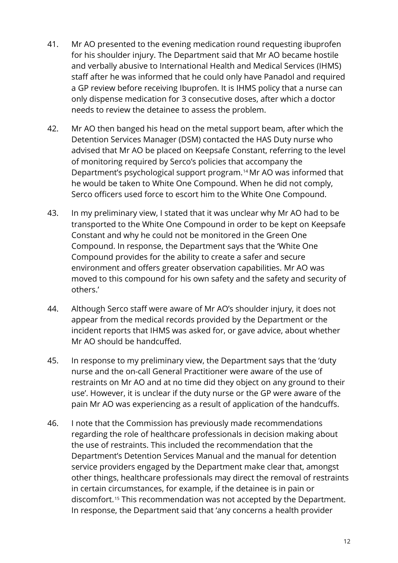- 41. Mr AO presented to the evening medication round requesting ibuprofen for his shoulder injury. The Department said that Mr AO became hostile and verbally abusive to International Health and Medical Services (IHMS) staff after he was informed that he could only have Panadol and required a GP review before receiving Ibuprofen. It is IHMS policy that a nurse can only dispense medication for 3 consecutive doses, after which a doctor needs to review the detainee to assess the problem.
- 42. Mr AO then banged his head on the metal support beam, after which the Detention Services Manager (DSM) contacted the HAS Duty nurse who advised that Mr AO be placed on Keepsafe Constant, referring to the level of monitoring required by Serco's policies that accompany the Department's psychological support program.[14](#page-19-12)Mr AO was informed that he would be taken to White One Compound. When he did not comply, Serco officers used force to escort him to the White One Compound.
- 43. In my preliminary view, I stated that it was unclear why Mr AO had to be transported to the White One Compound in order to be kept on Keepsafe Constant and why he could not be monitored in the Green One Compound. In response, the Department says that the 'White One Compound provides for the ability to create a safer and secure environment and offers greater observation capabilities. Mr AO was moved to this compound for his own safety and the safety and security of others.'
- 44. Although Serco staff were aware of Mr AO's shoulder injury, it does not appear from the medical records provided by the Department or the incident reports that IHMS was asked for, or gave advice, about whether Mr AO should be handcuffed.
- 45. In response to my preliminary view, the Department says that the 'duty nurse and the on-call General Practitioner were aware of the use of restraints on Mr AO and at no time did they object on any ground to their use'. However, it is unclear if the duty nurse or the GP were aware of the pain Mr AO was experiencing as a result of application of the handcuffs.
- 46. I note that the Commission has previously made recommendations regarding the role of healthcare professionals in decision making about the use of restraints. This included the recommendation that the Department's Detention Services Manual and the manual for detention service providers engaged by the Department make clear that, amongst other things, healthcare professionals may direct the removal of restraints in certain circumstances, for example, if the detainee is in pain or discomfort.<sup>[15](#page-19-13)</sup> This recommendation was not accepted by the Department. In response, the Department said that 'any concerns a health provider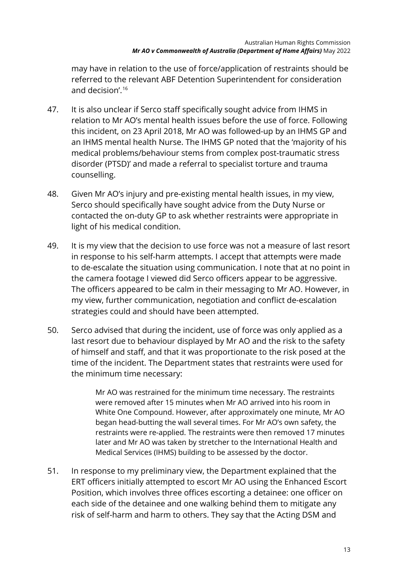may have in relation to the use of force/application of restraints should be referred to the relevant ABF Detention Superintendent for consideration and decision'. [16](#page-19-14)

- 47. It is also unclear if Serco staff specifically sought advice from IHMS in relation to Mr AO's mental health issues before the use of force. Following this incident, on 23 April 2018, Mr AO was followed-up by an IHMS GP and an IHMS mental health Nurse. The IHMS GP noted that the 'majority of his medical problems/behaviour stems from complex post-traumatic stress disorder (PTSD)' and made a referral to specialist torture and trauma counselling.
- 48. Given Mr AO's injury and pre-existing mental health issues, in my view, Serco should specifically have sought advice from the Duty Nurse or contacted the on-duty GP to ask whether restraints were appropriate in light of his medical condition.
- 49. It is my view that the decision to use force was not a measure of last resort in response to his self-harm attempts. I accept that attempts were made to de-escalate the situation using communication. I note that at no point in the camera footage I viewed did Serco officers appear to be aggressive. The officers appeared to be calm in their messaging to Mr AO. However, in my view, further communication, negotiation and conflict de-escalation strategies could and should have been attempted.
- 50. Serco advised that during the incident, use of force was only applied as a last resort due to behaviour displayed by Mr AO and the risk to the safety of himself and staff, and that it was proportionate to the risk posed at the time of the incident. The Department states that restraints were used for the minimum time necessary:

Mr AO was restrained for the minimum time necessary. The restraints were removed after 15 minutes when Mr AO arrived into his room in White One Compound. However, after approximately one minute, Mr AO began head-butting the wall several times. For Mr AO's own safety, the restraints were re-applied. The restraints were then removed 17 minutes later and Mr AO was taken by stretcher to the International Health and Medical Services (IHMS) building to be assessed by the doctor.

51. In response to my preliminary view, the Department explained that the ERT officers initially attempted to escort Mr AO using the Enhanced Escort Position, which involves three offices escorting a detainee: one officer on each side of the detainee and one walking behind them to mitigate any risk of self-harm and harm to others. They say that the Acting DSM and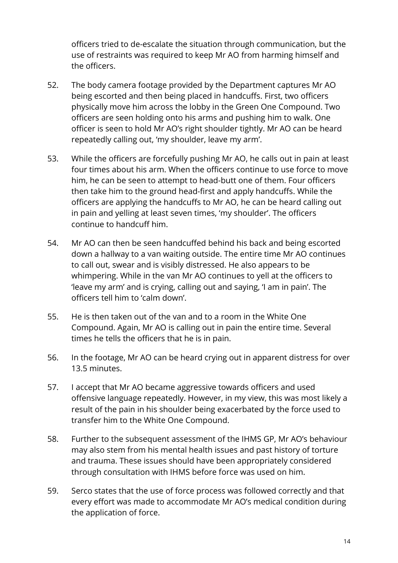officers tried to de-escalate the situation through communication, but the use of restraints was required to keep Mr AO from harming himself and the officers.

- 52. The body camera footage provided by the Department captures Mr AO being escorted and then being placed in handcuffs. First, two officers physically move him across the lobby in the Green One Compound. Two officers are seen holding onto his arms and pushing him to walk. One officer is seen to hold Mr AO's right shoulder tightly. Mr AO can be heard repeatedly calling out, 'my shoulder, leave my arm'.
- 53. While the officers are forcefully pushing Mr AO, he calls out in pain at least four times about his arm. When the officers continue to use force to move him, he can be seen to attempt to head-butt one of them. Four officers then take him to the ground head-first and apply handcuffs. While the officers are applying the handcuffs to Mr AO, he can be heard calling out in pain and yelling at least seven times, 'my shoulder'. The officers continue to handcuff him.
- 54. Mr AO can then be seen handcuffed behind his back and being escorted down a hallway to a van waiting outside. The entire time Mr AO continues to call out, swear and is visibly distressed. He also appears to be whimpering. While in the van Mr AO continues to yell at the officers to 'leave my arm' and is crying, calling out and saying, 'I am in pain'. The officers tell him to 'calm down'.
- 55. He is then taken out of the van and to a room in the White One Compound. Again, Mr AO is calling out in pain the entire time. Several times he tells the officers that he is in pain.
- 56. In the footage, Mr AO can be heard crying out in apparent distress for over 13.5 minutes.
- 57. I accept that Mr AO became aggressive towards officers and used offensive language repeatedly. However, in my view, this was most likely a result of the pain in his shoulder being exacerbated by the force used to transfer him to the White One Compound.
- 58. Further to the subsequent assessment of the IHMS GP, Mr AO's behaviour may also stem from his mental health issues and past history of torture and trauma. These issues should have been appropriately considered through consultation with IHMS before force was used on him.
- 59. Serco states that the use of force process was followed correctly and that every effort was made to accommodate Mr AO's medical condition during the application of force.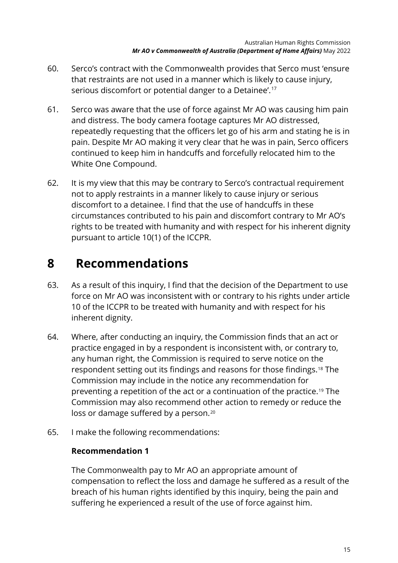- 60. Serco's contract with the Commonwealth provides that Serco must 'ensure that restraints are not used in a manner which is likely to cause injury, serious discomfort or potential danger to a Detainee'.<sup>[17](#page-19-15)</sup>
- 61. Serco was aware that the use of force against Mr AO was causing him pain and distress. The body camera footage captures Mr AO distressed, repeatedly requesting that the officers let go of his arm and stating he is in pain. Despite Mr AO making it very clear that he was in pain, Serco officers continued to keep him in handcuffs and forcefully relocated him to the White One Compound.
- 62. It is my view that this may be contrary to Serco's contractual requirement not to apply restraints in a manner likely to cause injury or serious discomfort to a detainee. I find that the use of handcuffs in these circumstances contributed to his pain and discomfort contrary to Mr AO's rights to be treated with humanity and with respect for his inherent dignity pursuant to article 10(1) of the ICCPR.

## <span id="page-15-0"></span>**8 Recommendations**

- 63. As a result of this inquiry, I find that the decision of the Department to use force on Mr AO was inconsistent with or contrary to his rights under article 10 of the ICCPR to be treated with humanity and with respect for his inherent dignity.
- 64. Where, after conducting an inquiry, the Commission finds that an act or practice engaged in by a respondent is inconsistent with, or contrary to, any human right, the Commission is required to serve notice on the respondent setting out its findings and reasons for those findings.[18](#page-19-16) The Commission may include in the notice any recommendation for preventing a repetition of the act or a continuation of the practice.[19](#page-19-17) The Commission may also recommend other action to remedy or reduce the loss or damage suffered by a person.<sup>[20](#page-19-4)</sup>
- 65. I make the following recommendations:

### **Recommendation 1**

The Commonwealth pay to Mr AO an appropriate amount of compensation to reflect the loss and damage he suffered as a result of the breach of his human rights identified by this inquiry, being the pain and suffering he experienced a result of the use of force against him.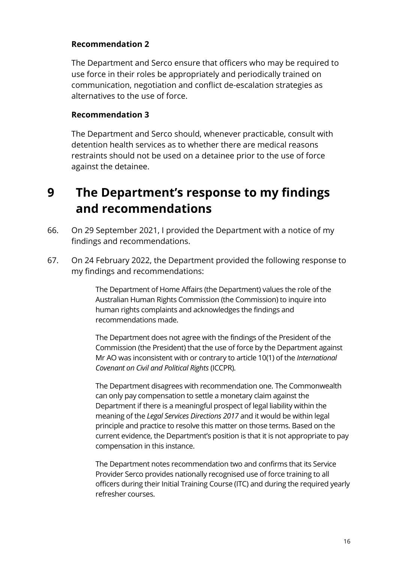#### **Recommendation 2**

The Department and Serco ensure that officers who may be required to use force in their roles be appropriately and periodically trained on communication, negotiation and conflict de-escalation strategies as alternatives to the use of force.

#### **Recommendation 3**

The Department and Serco should, whenever practicable, consult with detention health services as to whether there are medical reasons restraints should not be used on a detainee prior to the use of force against the detainee.

## <span id="page-16-0"></span>**9 The Department's response to my findings and recommendations**

- 66. On 29 September 2021, I provided the Department with a notice of my findings and recommendations.
- 67. On 24 February 2022, the Department provided the following response to my findings and recommendations:

The Department of Home Affairs (the Department) values the role of the Australian Human Rights Commission (the Commission) to inquire into human rights complaints and acknowledges the findings and recommendations made.

The Department does not agree with the findings of the President of the Commission (the President) that the use of force by the Department against Mr AO was inconsistent with or contrary to article 10(1) of the *International Covenant on Civil and Political Rights* (ICCPR).

The Department disagrees with recommendation one. The Commonwealth can only pay compensation to settle a monetary claim against the Department if there is a meaningful prospect of legal liability within the meaning of the *Legal Services Directions 2017* and it would be within legal principle and practice to resolve this matter on those terms. Based on the current evidence, the Department's position is that it is not appropriate to pay compensation in this instance.

The Department notes recommendation two and confirms that its Service Provider Serco provides nationally recognised use of force training to all officers during their Initial Training Course (ITC) and during the required yearly refresher courses.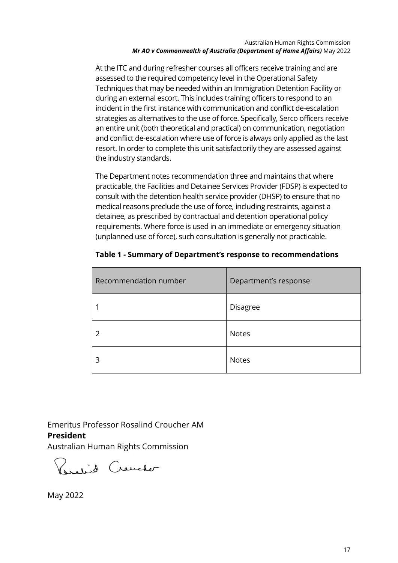At the ITC and during refresher courses all officers receive training and are assessed to the required competency level in the Operational Safety Techniques that may be needed within an Immigration Detention Facility or during an external escort. This includes training officers to respond to an incident in the first instance with communication and conflict de-escalation strategies as alternatives to the use of force. Specifically, Serco officers receive an entire unit (both theoretical and practical) on communication, negotiation and conflict de-escalation where use of force is always only applied as the last resort. In order to complete this unit satisfactorily they are assessed against the industry standards.

The Department notes recommendation three and maintains that where practicable, the Facilities and Detainee Services Provider (FDSP) is expected to consult with the detention health service provider (DHSP) to ensure that no medical reasons preclude the use of force, including restraints, against a detainee, as prescribed by contractual and detention operational policy requirements. Where force is used in an immediate or emergency situation (unplanned use of force), such consultation is generally not practicable.

| Recommendation number | Department's response |
|-----------------------|-----------------------|
|                       | Disagree              |
| 2                     | <b>Notes</b>          |
| 3                     | <b>Notes</b>          |

**Table 1 - Summary of Department's response to recommendations**

Emeritus Professor Rosalind Croucher AM **President** 

Australian Human Rights Commission

Paralid Craveter

May 2022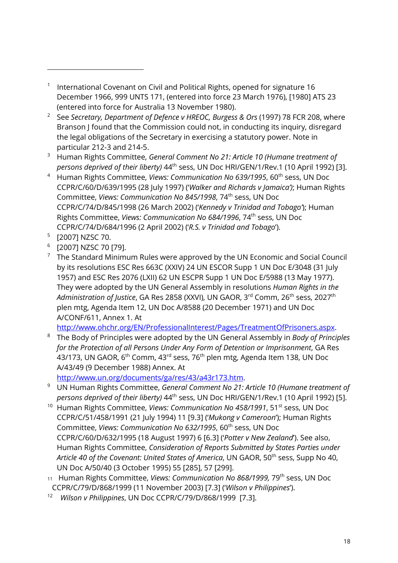1 International Covenant on Civil and Political Rights, opened for signature 16 December 1966, 999 UNTS 171, (entered into force 23 March 1976), [1980] ATS 23 (entered into force for Australia 13 November 1980).

- <sup>2</sup> See *Secretary, Department of Defence v HREOC, Burgess & Ors* (1997) 78 FCR 208, where Branson J found that the Commission could not, in conducting its inquiry, disregard the legal obligations of the Secretary in exercising a statutory power. Note in particular 212-3 and 214-5.
- <sup>3</sup> Human Rights Committee, *General Comment No 21: Article 10 (Humane treatment of persons deprived of their liberty)* 44th sess, UN Doc HRI/GEN/1/Rev.1 (10 April 1992) [3].
- <sup>4</sup> Human Rights Committee, *Views: Communication No 639/1995*, 60<sup>th</sup> sess, UN Doc CCPR/C/60/D/639/1995 (28 July 1997) ('*Walker and Richards v Jamaica')*; Human Rights Committee, *Views: Communication No 845/1998*, 74th sess, UN Doc CCPR/C/74/D/845/1998 (26 March 2002) ('*Kennedy v Trinidad and Tobago'*); Human Rights Committee, *Views: Communication No 684/1996*, 74th sess, UN Doc CCPR/C/74/D/684/1996 (2 April 2002) ('*R.S. v Trinidad and Tobago*').
- <sup>5</sup> [2007] NZSC 70.
- <sup>6</sup> [2007] NZSC 70 [79].
- $7$  The Standard Minimum Rules were approved by the UN Economic and Social Council by its resolutions ESC Res 663C (XXIV) 24 UN ESCOR Supp 1 UN Doc E/3048 (31 July 1957) and ESC Res 2076 (LXII) 62 UN ESCPR Supp 1 UN Doc E/5988 (13 May 1977). They were adopted by the UN General Assembly in resolutions *Human Rights in the*  Administration of Justice, GA Res 2858 (XXVI), UN GAOR, 3<sup>rd</sup> Comm, 26<sup>th</sup> sess, 2027<sup>th</sup> plen mtg, Agenda Item 12, UN Doc A/8588 (20 December 1971) and UN Doc A/CONF/611, Annex 1. At

[http://www.ohchr.org/EN/ProfessionalInterest/Pages/TreatmentOfPrisoners.aspx.](http://www.ohchr.org/EN/ProfessionalInterest/Pages/TreatmentOfPrisoners.aspx)

- <sup>8</sup> The Body of Principles were adopted by the UN General Assembly in *Body of Principles for the Protection of all Persons Under Any Form of Detention or Imprisonment*, GA Res 43/173, UN GAOR, 6<sup>th</sup> Comm, 43<sup>rd</sup> sess, 76<sup>th</sup> plen mtg, Agenda Item 138, UN Doc A/43/49 (9 December 1988) Annex. At
- [http://www.un.org/documents/ga/res/43/a43r173.htm.](http://www.un.org/documents/ga/res/43/a43r173.htm)
- <sup>9</sup> UN Human Rights Committee, *General Comment No 21: Article 10 (Humane treatment of persons deprived of their liberty)* 44th sess, UN Doc HRI/GEN/1/Rev.1 (10 April 1992) [5].
- <sup>10</sup> Human Rights Committee, *Views: Communication No 458/1991*, 51st sess, UN Doc CCPR/C/51/458/1991 (21 July 1994) 11 [9.3] ('*Mukong v Cameroon*'); Human Rights Committee, *Views: Communication No 632/1995*, 60th sess, UN Doc CCPR/C/60/D/632/1995 (18 August 1997) 6 [6.3] ('*Potter v New Zealand*'). See also, Human Rights Committee, *Consideration of Reports Submitted by States Parties under Article 40 of the Covenant: United States of America*, UN GAOR, 50th sess, Supp No 40, UN Doc A/50/40 (3 October 1995) 55 [285], 57 [299].
- 11 Human Rights Committee, *Views: Communication No 868/1999,* 79th sess, UN Doc CCPR/C/79/D/868/1999 (11 November 2003) [7.3] ('*Wilson v Philippines*').
- 12 *Wilson v Philippines*, UN Doc CCPR/C/79/D/868/1999 [7.3].